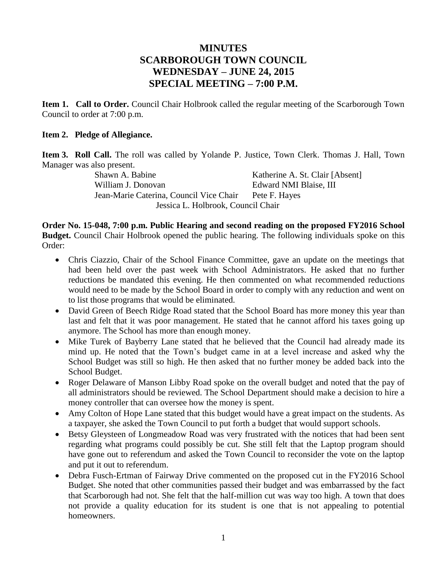# **MINUTES SCARBOROUGH TOWN COUNCIL WEDNESDAY – JUNE 24, 2015 SPECIAL MEETING – 7:00 P.M.**

**Item 1. Call to Order.** Council Chair Holbrook called the regular meeting of the Scarborough Town Council to order at 7:00 p.m.

#### **Item 2. Pledge of Allegiance.**

**Item 3. Roll Call.** The roll was called by Yolande P. Justice, Town Clerk. Thomas J. Hall, Town Manager was also present.

Shawn A. Babine Katherine A. St. Clair [Absent] William J. Donovan Edward NMI Blaise, III Jean-Marie Caterina, Council Vice Chair Pete F. Hayes Jessica L. Holbrook, Council Chair

**Order No. 15-048, 7:00 p.m. Public Hearing and second reading on the proposed FY2016 School Budget.** Council Chair Holbrook opened the public hearing. The following individuals spoke on this Order:

- Chris Ciazzio, Chair of the School Finance Committee, gave an update on the meetings that had been held over the past week with School Administrators. He asked that no further reductions be mandated this evening. He then commented on what recommended reductions would need to be made by the School Board in order to comply with any reduction and went on to list those programs that would be eliminated.
- David Green of Beech Ridge Road stated that the School Board has more money this year than last and felt that it was poor management. He stated that he cannot afford his taxes going up anymore. The School has more than enough money.
- Mike Turek of Bayberry Lane stated that he believed that the Council had already made its mind up. He noted that the Town's budget came in at a level increase and asked why the School Budget was still so high. He then asked that no further money be added back into the School Budget.
- Roger Delaware of Manson Libby Road spoke on the overall budget and noted that the pay of all administrators should be reviewed. The School Department should make a decision to hire a money controller that can oversee how the money is spent.
- Amy Colton of Hope Lane stated that this budget would have a great impact on the students. As a taxpayer, she asked the Town Council to put forth a budget that would support schools.
- Betsy Gleysteen of Longmeadow Road was very frustrated with the notices that had been sent regarding what programs could possibly be cut. She still felt that the Laptop program should have gone out to referendum and asked the Town Council to reconsider the vote on the laptop and put it out to referendum.
- Debra Fusch-Ertman of Fairway Drive commented on the proposed cut in the FY2016 School Budget. She noted that other communities passed their budget and was embarrassed by the fact that Scarborough had not. She felt that the half-million cut was way too high. A town that does not provide a quality education for its student is one that is not appealing to potential homeowners.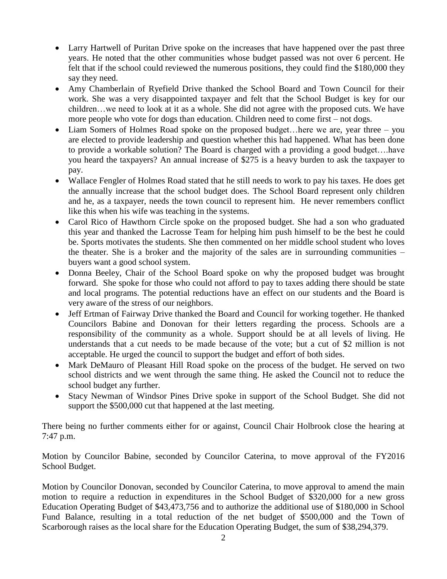- Larry Hartwell of Puritan Drive spoke on the increases that have happened over the past three years. He noted that the other communities whose budget passed was not over 6 percent. He felt that if the school could reviewed the numerous positions, they could find the \$180,000 they say they need.
- Amy Chamberlain of Ryefield Drive thanked the School Board and Town Council for their work. She was a very disappointed taxpayer and felt that the School Budget is key for our children…we need to look at it as a whole. She did not agree with the proposed cuts. We have more people who vote for dogs than education. Children need to come first – not dogs.
- Liam Somers of Holmes Road spoke on the proposed budget... here we are, year three you are elected to provide leadership and question whether this had happened. What has been done to provide a workable solution? The Board is charged with a providing a good budget….have you heard the taxpayers? An annual increase of \$275 is a heavy burden to ask the taxpayer to pay.
- Wallace Fengler of Holmes Road stated that he still needs to work to pay his taxes. He does get the annually increase that the school budget does. The School Board represent only children and he, as a taxpayer, needs the town council to represent him. He never remembers conflict like this when his wife was teaching in the systems.
- Carol Rico of Hawthorn Circle spoke on the proposed budget. She had a son who graduated this year and thanked the Lacrosse Team for helping him push himself to be the best he could be. Sports motivates the students. She then commented on her middle school student who loves the theater. She is a broker and the majority of the sales are in surrounding communities – buyers want a good school system.
- Donna Beeley, Chair of the School Board spoke on why the proposed budget was brought forward. She spoke for those who could not afford to pay to taxes adding there should be state and local programs. The potential reductions have an effect on our students and the Board is very aware of the stress of our neighbors.
- Jeff Ertman of Fairway Drive thanked the Board and Council for working together. He thanked Councilors Babine and Donovan for their letters regarding the process. Schools are a responsibility of the community as a whole. Support should be at all levels of living. He understands that a cut needs to be made because of the vote; but a cut of \$2 million is not acceptable. He urged the council to support the budget and effort of both sides.
- Mark DeMauro of Pleasant Hill Road spoke on the process of the budget. He served on two school districts and we went through the same thing. He asked the Council not to reduce the school budget any further.
- Stacy Newman of Windsor Pines Drive spoke in support of the School Budget. She did not support the \$500,000 cut that happened at the last meeting.

There being no further comments either for or against, Council Chair Holbrook close the hearing at 7:47 p.m.

Motion by Councilor Babine, seconded by Councilor Caterina, to move approval of the FY2016 School Budget.

Motion by Councilor Donovan, seconded by Councilor Caterina, to move approval to amend the main motion to require a reduction in expenditures in the School Budget of \$320,000 for a new gross Education Operating Budget of \$43,473,756 and to authorize the additional use of \$180,000 in School Fund Balance, resulting in a total reduction of the net budget of \$500,000 and the Town of Scarborough raises as the local share for the Education Operating Budget, the sum of \$38,294,379.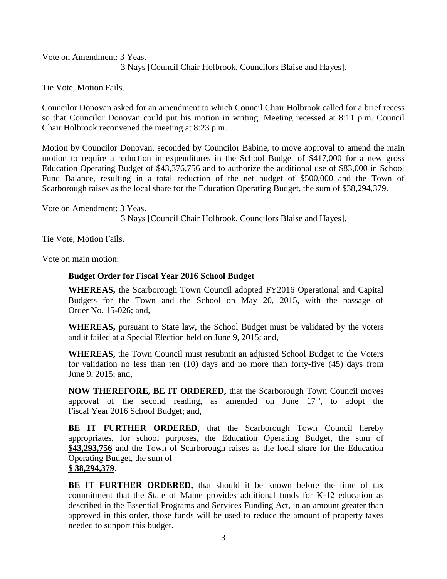Vote on Amendment: 3 Yeas.

3 Nays [Council Chair Holbrook, Councilors Blaise and Hayes].

Tie Vote, Motion Fails.

Councilor Donovan asked for an amendment to which Council Chair Holbrook called for a brief recess so that Councilor Donovan could put his motion in writing. Meeting recessed at 8:11 p.m. Council Chair Holbrook reconvened the meeting at 8:23 p.m.

Motion by Councilor Donovan, seconded by Councilor Babine, to move approval to amend the main motion to require a reduction in expenditures in the School Budget of \$417,000 for a new gross Education Operating Budget of \$43,376,756 and to authorize the additional use of \$83,000 in School Fund Balance, resulting in a total reduction of the net budget of \$500,000 and the Town of Scarborough raises as the local share for the Education Operating Budget, the sum of \$38,294,379.

Vote on Amendment: 3 Yeas. 3 Nays [Council Chair Holbrook, Councilors Blaise and Hayes].

Tie Vote, Motion Fails.

Vote on main motion:

#### **Budget Order for Fiscal Year 2016 School Budget**

**WHEREAS,** the Scarborough Town Council adopted FY2016 Operational and Capital Budgets for the Town and the School on May 20, 2015, with the passage of Order No. 15-026; and,

**WHEREAS,** pursuant to State law, the School Budget must be validated by the voters and it failed at a Special Election held on June 9, 2015; and,

**WHEREAS,** the Town Council must resubmit an adjusted School Budget to the Voters for validation no less than ten (10) days and no more than forty-five (45) days from June 9, 2015; and,

**NOW THEREFORE, BE IT ORDERED,** that the Scarborough Town Council moves approval of the second reading, as amended on June  $17<sup>th</sup>$ , to adopt the Fiscal Year 2016 School Budget; and,

**BE IT FURTHER ORDERED**, that the Scarborough Town Council hereby appropriates, for school purposes, the Education Operating Budget, the sum of **\$43,293,756** and the Town of Scarborough raises as the local share for the Education Operating Budget, the sum of

**\$ 38,294,379**.

**BE IT FURTHER ORDERED,** that should it be known before the time of tax commitment that the State of Maine provides additional funds for K-12 education as described in the Essential Programs and Services Funding Act, in an amount greater than approved in this order, those funds will be used to reduce the amount of property taxes needed to support this budget.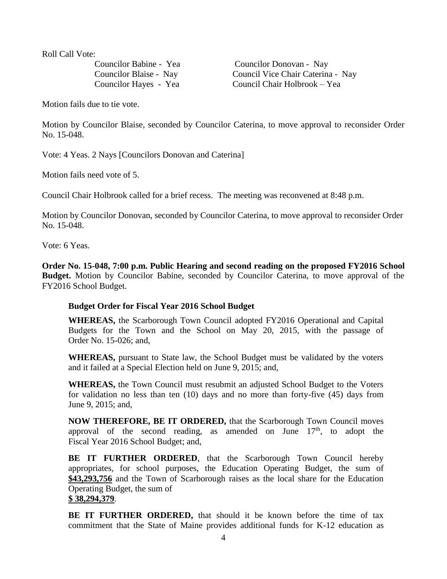Roll Call Vote:

Councilor Babine - Yea Councilor Donovan - Nay Councilor Blaise - Nay Council Vice Chair Caterina - Nay Councilor Hayes - Yea Council Chair Holbrook – Yea

Motion fails due to tie vote.

Motion by Councilor Blaise, seconded by Councilor Caterina, to move approval to reconsider Order No. 15-048.

Vote: 4 Yeas. 2 Nays [Councilors Donovan and Caterina]

Motion fails need vote of 5.

Council Chair Holbrook called for a brief recess. The meeting was reconvened at 8:48 p.m.

Motion by Councilor Donovan, seconded by Councilor Caterina, to move approval to reconsider Order No. 15-048.

Vote: 6 Yeas.

**Order No. 15-048, 7:00 p.m. Public Hearing and second reading on the proposed FY2016 School Budget.** Motion by Councilor Babine, seconded by Councilor Caterina, to move approval of the FY2016 School Budget.

### **Budget Order for Fiscal Year 2016 School Budget**

**WHEREAS,** the Scarborough Town Council adopted FY2016 Operational and Capital Budgets for the Town and the School on May 20, 2015, with the passage of Order No. 15-026; and,

**WHEREAS,** pursuant to State law, the School Budget must be validated by the voters and it failed at a Special Election held on June 9, 2015; and,

**WHEREAS,** the Town Council must resubmit an adjusted School Budget to the Voters for validation no less than ten (10) days and no more than forty-five (45) days from June 9, 2015; and,

**NOW THEREFORE, BE IT ORDERED,** that the Scarborough Town Council moves approval of the second reading, as amended on June  $17<sup>th</sup>$ , to adopt the Fiscal Year 2016 School Budget; and,

**BE IT FURTHER ORDERED**, that the Scarborough Town Council hereby appropriates, for school purposes, the Education Operating Budget, the sum of **\$43,293,756** and the Town of Scarborough raises as the local share for the Education Operating Budget, the sum of

## **\$ 38,294,379**.

**BE IT FURTHER ORDERED,** that should it be known before the time of tax commitment that the State of Maine provides additional funds for K-12 education as